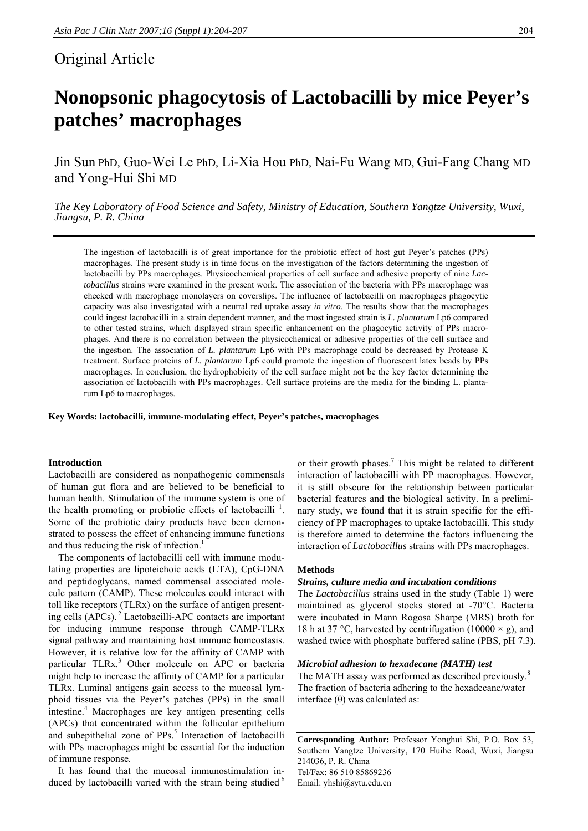# Original Article

# **Nonopsonic phagocytosis of Lactobacilli by mice Peyer's patches' macrophages**

Jin Sun PhD, Guo-Wei Le PhD, Li-Xia Hou PhD, Nai-Fu Wang MD, Gui-Fang Chang MD and Yong-Hui Shi MD

*The Key Laboratory of Food Science and Safety, Ministry of Education, Southern Yangtze University, Wuxi, Jiangsu, P. R. China* 

The ingestion of lactobacilli is of great importance for the probiotic effect of host gut Peyer's patches (PPs) macrophages. The present study is in time focus on the investigation of the factors determining the ingestion of lactobacilli by PPs macrophages. Physicochemical properties of cell surface and adhesive property of nine *Lactobacillus* strains were examined in the present work. The association of the bacteria with PPs macrophage was checked with macrophage monolayers on coverslips. The influence of lactobacilli on macrophages phagocytic capacity was also investigated with a neutral red uptake assay *in vitro*. The results show that the macrophages could ingest lactobacilli in a strain dependent manner, and the most ingested strain is *L. plantarum* Lp6 compared to other tested strains, which displayed strain specific enhancement on the phagocytic activity of PPs macrophages. And there is no correlation between the physicochemical or adhesive properties of the cell surface and the ingestion. The association of *L. plantarum* Lp6 with PPs macrophage could be decreased by Protease K treatment. Surface proteins of *L. plantarum* Lp6 could promote the ingestion of fluorescent latex beads by PPs macrophages. In conclusion, the hydrophobicity of the cell surface might not be the key factor determining the association of lactobacilli with PPs macrophages. Cell surface proteins are the media for the binding L. plantarum Lp6 to macrophages.

**Key Words: lactobacilli, immune-modulating effect, Peyer's patches, macrophages** 

# **Introduction**

Lactobacilli are considered as nonpathogenic commensals of human gut flora and are believed to be beneficial to human health. Stimulation of the immune system is one of the health promoting or probiotic effects of lactobacilli<sup> $1$ </sup>. Some of the probiotic dairy products have been demonstrated to possess the effect of enhancing immune functions and thus reducing the risk of infection.<sup>1</sup>

 The components of lactobacilli cell with immune modulating properties are lipoteichoic acids (LTA), CpG-DNA and peptidoglycans, named commensal associated molecule pattern (CAMP). These molecules could interact with toll like receptors (TLRx) on the surface of antigen presenting cells (APCs). 2 Lactobacilli-APC contacts are important for inducing immune response through CAMP-TLRx signal pathway and maintaining host immune homeostasis. However, it is relative low for the affinity of CAMP with particular TLRx.<sup>3</sup> Other molecule on APC or bacteria might help to increase the affinity of CAMP for a particular TLRx. Luminal antigens gain access to the mucosal lymphoid tissues via the Peyer's patches (PPs) in the small intestine.<sup>4</sup> Macrophages are key antigen presenting cells (APCs) that concentrated within the follicular epithelium and subepithelial zone of PPs.<sup>5</sup> Interaction of lactobacilli with PPs macrophages might be essential for the induction of immune response.

 It has found that the mucosal immunostimulation induced by lactobacilli varied with the strain being studied $<sup>6</sup>$ </sup>

or their growth phases.<sup>7</sup> This might be related to different interaction of lactobacilli with PP macrophages. However, it is still obscure for the relationship between particular bacterial features and the biological activity. In a preliminary study, we found that it is strain specific for the efficiency of PP macrophages to uptake lactobacilli. This study is therefore aimed to determine the factors influencing the interaction of *Lactobacillus* strains with PPs macrophages.

# **Methods**

# *Strains, culture media and incubation conditions*

The *Lactobacillus* strains used in the study (Table 1) were maintained as glycerol stocks stored at -70°C. Bacteria were incubated in Mann Rogosa Sharpe (MRS) broth for 18 h at 37 °C, harvested by centrifugation (10000  $\times$  g), and washed twice with phosphate buffered saline (PBS, pH 7.3).

# *Microbial adhesion to hexadecane (MATH) test*

The MATH assay was performed as described previously.<sup>8</sup> The fraction of bacteria adhering to the hexadecane/water interface  $(θ)$  was calculated as:

**Corresponding Author:** Professor Yonghui Shi, P.O. Box 53, Southern Yangtze University, 170 Huihe Road, Wuxi, Jiangsu 214036, P. R. China Tel/Fax: 86 510 85869236 Email: yhshi@sytu.edu.cn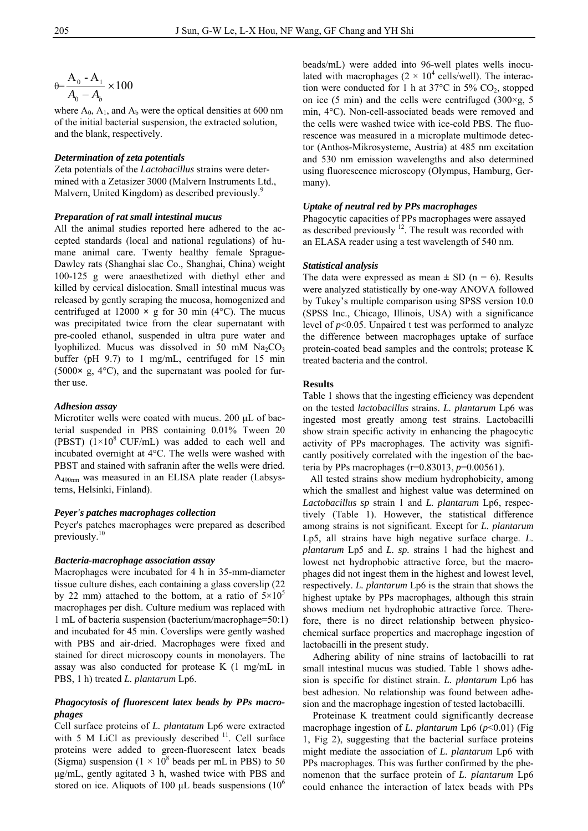$$
\theta = \frac{A_0 - A_1}{A_0 - A_b} \times 100
$$

where  $A_0$ ,  $A_1$ , and  $A_b$  were the optical densities at 600 nm of the initial bacterial suspension, the extracted solution, and the blank, respectively.

# *Determination of zeta potentials*

Zeta potentials of the *Lactobacillus* strains were determined with a Zetasizer 3000 (Malvern Instruments Ltd., Malvern, United Kingdom) as described previously.<sup>9</sup>

#### *Preparation of rat small intestinal mucus*

All the animal studies reported here adhered to the accepted standards (local and national regulations) of humane animal care. Twenty healthy female Sprague-Dawley rats (Shanghai slac Co., Shanghai, China) weight 100-125 g were anaesthetized with diethyl ether and killed by cervical dislocation. Small intestinal mucus was released by gently scraping the mucosa, homogenized and centrifuged at  $12000 \times g$  for 30 min (4<sup>o</sup>C). The mucus was precipitated twice from the clear supernatant with pre-cooled ethanol, suspended in ultra pure water and lyophilized. Mucus was dissolved in 50 mM  $Na<sub>2</sub>CO<sub>3</sub>$ buffer (pH 9.7) to 1 mg/mL, centrifuged for 15 min (5000**×** g, 4°C), and the supernatant was pooled for further use.

# *Adhesion assay*

Microtiter wells were coated with mucus. 200 μL of bacterial suspended in PBS containing 0.01% Tween 20 (PBST)  $(1\times10^8 \text{ CUF/mL})$  was added to each well and incubated overnight at 4°C. The wells were washed with PBST and stained with safranin after the wells were dried. A490nm was measured in an ELISA plate reader (Labsystems, Helsinki, Finland).

#### *Peyer's patches macrophages collection*

Peyer's patches macrophages were prepared as described previously.<sup>10</sup>

#### *Bacteria-macrophage association assay*

Macrophages were incubated for 4 h in 35-mm-diameter tissue culture dishes, each containing a glass coverslip (22 by 22 mm) attached to the bottom, at a ratio of  $5\times10^{5}$ macrophages per dish. Culture medium was replaced with 1 mL of bacteria suspension (bacterium/macrophage=50:1) and incubated for 45 min. Coverslips were gently washed with PBS and air-dried. Macrophages were fixed and stained for direct microscopy counts in monolayers. The assay was also conducted for protease K (1 mg/mL in PBS, 1 h) treated *L. plantarum* Lp6.

# *Phagocytosis of fluorescent latex beads by PPs macrophages*

Cell surface proteins of *L. plantatum* Lp6 were extracted with 5 M LiCl as previously described <sup>11</sup>. Cell surface proteins were added to green-fluorescent latex beads (Sigma) suspension ( $1 \times 10^8$  beads per mL in PBS) to 50 μg/mL, gently agitated 3 h, washed twice with PBS and stored on ice. Aliquots of 100 μL beads suspensions  $(10^6)$ 

beads/mL) were added into 96-well plates wells inoculated with macrophages  $(2 \times 10^4 \text{ cells/well})$ . The interaction were conducted for 1 h at  $37^{\circ}$ C in  $5\%$  CO<sub>2</sub>, stopped on ice (5 min) and the cells were centrifuged (300 $\times$ g, 5 min, 4°C). Non-cell-associated beads were removed and the cells were washed twice with ice-cold PBS. The fluorescence was measured in a microplate multimode detector (Anthos-Mikrosysteme, Austria) at 485 nm excitation and 530 nm emission wavelengths and also determined using fluorescence microscopy (Olympus, Hamburg, Germany).

# *Uptake of neutral red by PPs macrophages*

Phagocytic capacities of PPs macrophages were assayed as described previously  $12$ . The result was recorded with an ELASA reader using a test wavelength of 540 nm.

# *Statistical analysis*

The data were expressed as mean  $\pm$  SD (n = 6). Results were analyzed statistically by one-way ANOVA followed by Tukey's multiple comparison using SPSS version 10.0 (SPSS Inc., Chicago, Illinois, USA) with a significance level of *p*<0.05. Unpaired t test was performed to analyze the difference between macrophages uptake of surface protein-coated bead samples and the controls; protease K treated bacteria and the control.

# **Results**

Table 1 shows that the ingesting efficiency was dependent on the tested *lactobacillus* strains*. L. plantarum* Lp6 was ingested most greatly among test strains. Lactobacilli show strain specific activity in enhancing the phagocytic activity of PPs macrophages. The activity was significantly positively correlated with the ingestion of the bacteria by PPs macrophages (r=0.83013, *p*=0.00561).

 All tested strains show medium hydrophobicity, among which the smallest and highest value was determined on *Lactobacillus sp* strain 1 and *L. plantarum* Lp6, respectively (Table 1). However, the statistical difference among strains is not significant. Except for *L. plantarum* Lp5, all strains have high negative surface charge. *L. plantarum* Lp5 and *L. sp.* strains 1 had the highest and lowest net hydrophobic attractive force, but the macrophages did not ingest them in the highest and lowest level, respectively. *L. plantarum* Lp6 is the strain that shows the highest uptake by PPs macrophages, although this strain shows medium net hydrophobic attractive force. Therefore, there is no direct relationship between physicochemical surface properties and macrophage ingestion of lactobacilli in the present study.

 Adhering ability of nine strains of lactobacilli to rat small intestinal mucus was studied. Table 1 shows adhesion is specific for distinct strain. *L. plantarum* Lp6 has best adhesion. No relationship was found between adhesion and the macrophage ingestion of tested lactobacilli.

 Proteinase K treatment could significantly decrease macrophage ingestion of *L. plantarum* Lp6 (*p*<0.01) (Fig 1, Fig 2), suggesting that the bacterial surface proteins might mediate the association of *L. plantarum* Lp6 with PPs macrophages. This was further confirmed by the phenomenon that the surface protein of *L. plantarum* Lp6 could enhance the interaction of latex beads with PPs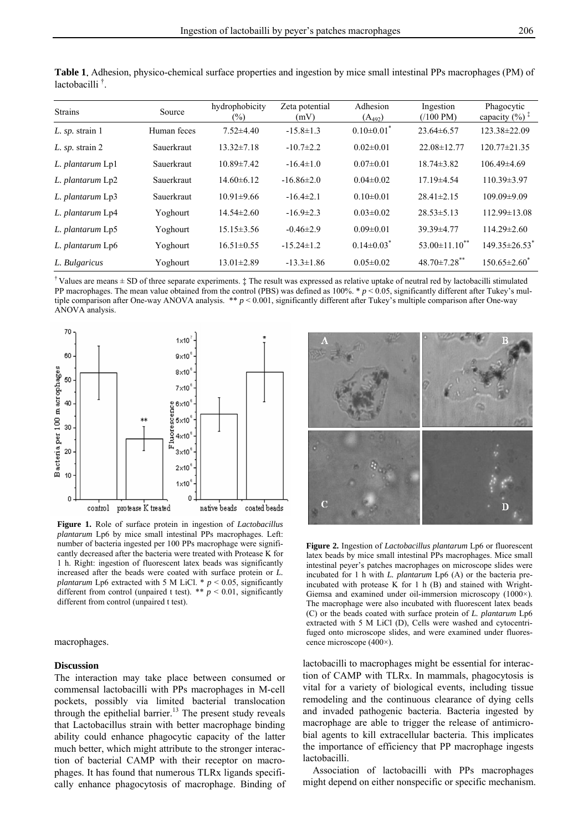| <b>Strains</b>      | Source      | hydrophobicity<br>$\binom{0}{0}$ | Zeta potential<br>(mV) | Adhesion<br>$(A_{492})$      | Ingestion<br>$(100 \text{ PM})$ | Phagocytic<br>capacity $(\%)$ <sup><math>\ddagger</math></sup> |
|---------------------|-------------|----------------------------------|------------------------|------------------------------|---------------------------------|----------------------------------------------------------------|
| $L.$ sp. strain 1   | Human feces | $7.52 \pm 4.40$                  | $-15.8 \pm 1.3$        | $0.10\pm0.01$ <sup>*</sup>   | $23.64\pm 6.57$                 | 123.38±22.09                                                   |
| $L.$ sp. strain $2$ | Sauerkraut  | $13.32 \pm 7.18$                 | $-10.7 \pm 2.2$        | $0.02 \pm 0.01$              | 22.08±12.77                     | $120.77 \pm 21.35$                                             |
| L. plantarum Lp1    | Sauerkraut  | $10.89 \pm 7.42$                 | $-16.4 \pm 1.0$        | $0.07 \pm 0.01$              | $18.74 \pm 3.82$                | $106.49{\pm}4.69$                                              |
| L. plantarum Lp2    | Sauerkraut  | $14.60 \pm 6.12$                 | $-16.86\pm2.0$         | $0.04\pm0.02$                | $17.19 \pm 4.54$                | $110.39 \pm 3.97$                                              |
| L. plantarum Lp3    | Sauerkraut  | $10.91 \pm 9.66$                 | $-16.4 \pm 2.1$        | $0.10 \pm 0.01$              | $28.41 \pm 2.15$                | 109.09±9.09                                                    |
| L. plantarum Lp4    | Yoghourt    | $14.54 \pm 2.60$                 | $-16.9 \pm 2.3$        | $0.03 \pm 0.02$              | $28.53 \pm 5.13$                | $112.99 \pm 13.08$                                             |
| L. plantarum Lp5    | Yoghourt    | $15.15 \pm 3.56$                 | $-0.46 \pm 2.9$        | $0.09 \pm 0.01$              | 39.39±4.77                      | $114.29 \pm 2.60$                                              |
| L. plantarum Lp6    | Yoghourt    | $16.51 \pm 0.55$                 | $-15.24 \pm 1.2$       | $0.14 \pm 0.03$ <sup>*</sup> | $53.00 \pm 11.10$ <sup>**</sup> | $149.35 \pm 26.53$ <sup>*</sup>                                |
| L. Bulgaricus       | Yoghourt    | $13.01 \pm 2.89$                 | $-13.3 \pm 1.86$       | $0.05 \pm 0.02$              | $48.70 \pm 7.28$ **             | $150.65 \pm 2.60^*$                                            |

**Table 1**. Adhesion, physico-chemical surface properties and ingestion by mice small intestinal PPs macrophages (PM) of lactobacilli † .

<sup>†</sup> Values are means  $\pm$  SD of three separate experiments.  $\ddagger$  The result was expressed as relative uptake of neutral red by lactobacilli stimulated PP macrophages. The mean value obtained from the control (PBS) was defined as 100%. \* *p* < 0.05, significantly different after Tukey's multiple comparison after One-way ANOVA analysis. \*\* *p* < 0.001, significantly different after Tukey's multiple comparison after One-way ANOVA analysis.



**Figure 1.** Role of surface protein in ingestion of *Lactobacillus plantarum* Lp6 by mice small intestinal PPs macrophages. Left: number of bacteria ingested per 100 PPs macrophage were significantly decreased after the bacteria were treated with Protease K for 1 h. Right: ingestion of fluorescent latex beads was significantly increased after the beads were coated with surface protein or *L. plantarum* Lp6 extracted with 5 M LiCl. \* *p* < 0.05, significantly different from control (unpaired t test). \*\*  $p < 0.01$ , significantly different from control (unpaired t test).

# macrophages.

# **Discussion**

The interaction may take place between consumed or commensal lactobacilli with PPs macrophages in M-cell pockets, possibly via limited bacterial translocation through the epithelial barrier.<sup>13</sup> The present study reveals that Lactobacillus strain with better macrophage binding ability could enhance phagocytic capacity of the latter much better, which might attribute to the stronger interaction of bacterial CAMP with their receptor on macrophages. It has found that numerous TLRx ligands specifically enhance phagocytosis of macrophage. Binding of



**Figure 2.** Ingestion of *Lactobacillus plantarum* Lp6 or fluorescent latex beads by mice small intestinal PPs macrophages. Mice small intestinal peyer's patches macrophages on microscope slides were incubated for 1 h with *L. plantarum* Lp6 (A) or the bacteria preincubated with protease K for 1 h (B) and stained with Wright-Giemsa and examined under oil-immersion microscopy (1000×). The macrophage were also incubated with fluorescent latex beads (C) or the beads coated with surface protein of *L. plantarum* Lp6 extracted with 5 M LiCl (D), Cells were washed and cytocentrifuged onto microscope slides, and were examined under fluorescence microscope (400×).

lactobacilli to macrophages might be essential for interaction of CAMP with TLRx. In mammals, phagocytosis is vital for a variety of biological events, including tissue remodeling and the continuous clearance of dying cells and invaded pathogenic bacteria. Bacteria ingested by macrophage are able to trigger the release of antimicrobial agents to kill extracellular bacteria. This implicates the importance of efficiency that PP macrophage ingests lactobacilli.

 Association of lactobacilli with PPs macrophages might depend on either nonspecific or specific mechanism.